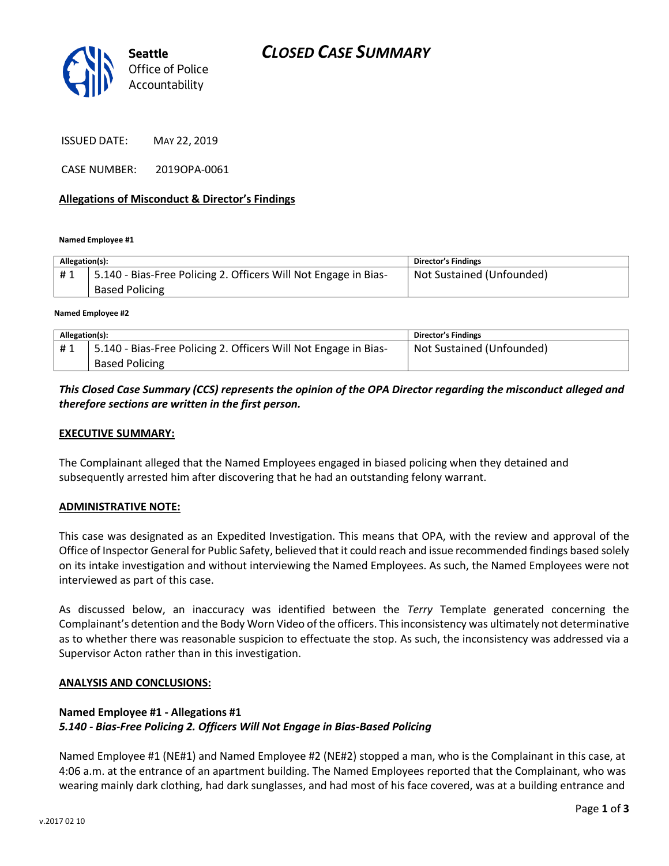

ISSUED DATE: MAY 22, 2019

CASE NUMBER: 2019OPA-0061

## **Allegations of Misconduct & Director's Findings**

**Named Employee #1**

| Allegation(s): |                                                                 | Director's Findings       |
|----------------|-----------------------------------------------------------------|---------------------------|
| #1             | 5.140 - Bias-Free Policing 2. Officers Will Not Engage in Bias- | Not Sustained (Unfounded) |
|                | <b>Based Policing</b>                                           |                           |
|                |                                                                 |                           |

**Named Employee #2**

| Allegation(s): |                                                                 | Director's Findings       |
|----------------|-----------------------------------------------------------------|---------------------------|
| #1             | 5.140 - Bias-Free Policing 2. Officers Will Not Engage in Bias- | Not Sustained (Unfounded) |
|                | <b>Based Policing</b>                                           |                           |

# *This Closed Case Summary (CCS) represents the opinion of the OPA Director regarding the misconduct alleged and therefore sections are written in the first person.*

### **EXECUTIVE SUMMARY:**

The Complainant alleged that the Named Employees engaged in biased policing when they detained and subsequently arrested him after discovering that he had an outstanding felony warrant.

#### **ADMINISTRATIVE NOTE:**

This case was designated as an Expedited Investigation. This means that OPA, with the review and approval of the Office of Inspector General for Public Safety, believed that it could reach and issue recommended findings based solely on its intake investigation and without interviewing the Named Employees. As such, the Named Employees were not interviewed as part of this case.

As discussed below, an inaccuracy was identified between the *Terry* Template generated concerning the Complainant's detention and the Body Worn Video of the officers. This inconsistency was ultimately not determinative as to whether there was reasonable suspicion to effectuate the stop. As such, the inconsistency was addressed via a Supervisor Acton rather than in this investigation.

#### **ANALYSIS AND CONCLUSIONS:**

## **Named Employee #1 - Allegations #1** *5.140 - Bias-Free Policing 2. Officers Will Not Engage in Bias-Based Policing*

Named Employee #1 (NE#1) and Named Employee #2 (NE#2) stopped a man, who is the Complainant in this case, at 4:06 a.m. at the entrance of an apartment building. The Named Employees reported that the Complainant, who was wearing mainly dark clothing, had dark sunglasses, and had most of his face covered, was at a building entrance and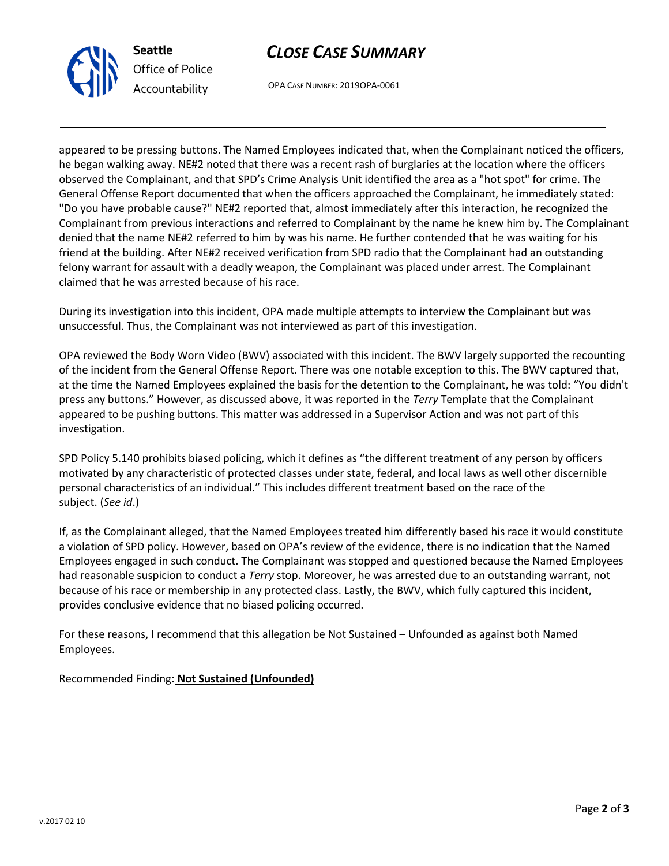



OPA CASE NUMBER: 2019OPA-0061

appeared to be pressing buttons. The Named Employees indicated that, when the Complainant noticed the officers, he began walking away. NE#2 noted that there was a recent rash of burglaries at the location where the officers observed the Complainant, and that SPD's Crime Analysis Unit identified the area as a "hot spot" for crime. The General Offense Report documented that when the officers approached the Complainant, he immediately stated: "Do you have probable cause?" NE#2 reported that, almost immediately after this interaction, he recognized the Complainant from previous interactions and referred to Complainant by the name he knew him by. The Complainant denied that the name NE#2 referred to him by was his name. He further contended that he was waiting for his friend at the building. After NE#2 received verification from SPD radio that the Complainant had an outstanding felony warrant for assault with a deadly weapon, the Complainant was placed under arrest. The Complainant claimed that he was arrested because of his race.

During its investigation into this incident, OPA made multiple attempts to interview the Complainant but was unsuccessful. Thus, the Complainant was not interviewed as part of this investigation.

OPA reviewed the Body Worn Video (BWV) associated with this incident. The BWV largely supported the recounting of the incident from the General Offense Report. There was one notable exception to this. The BWV captured that, at the time the Named Employees explained the basis for the detention to the Complainant, he was told: "You didn't press any buttons." However, as discussed above, it was reported in the *Terry* Template that the Complainant appeared to be pushing buttons. This matter was addressed in a Supervisor Action and was not part of this investigation.

SPD Policy 5.140 prohibits biased policing, which it defines as "the different treatment of any person by officers motivated by any characteristic of protected classes under state, federal, and local laws as well other discernible personal characteristics of an individual." This includes different treatment based on the race of the subject. (*See id*.)

If, as the Complainant alleged, that the Named Employees treated him differently based his race it would constitute a violation of SPD policy. However, based on OPA's review of the evidence, there is no indication that the Named Employees engaged in such conduct. The Complainant was stopped and questioned because the Named Employees had reasonable suspicion to conduct a *Terry* stop. Moreover, he was arrested due to an outstanding warrant, not because of his race or membership in any protected class. Lastly, the BWV, which fully captured this incident, provides conclusive evidence that no biased policing occurred.

For these reasons, I recommend that this allegation be Not Sustained – Unfounded as against both Named Employees.

Recommended Finding: **Not Sustained (Unfounded)**